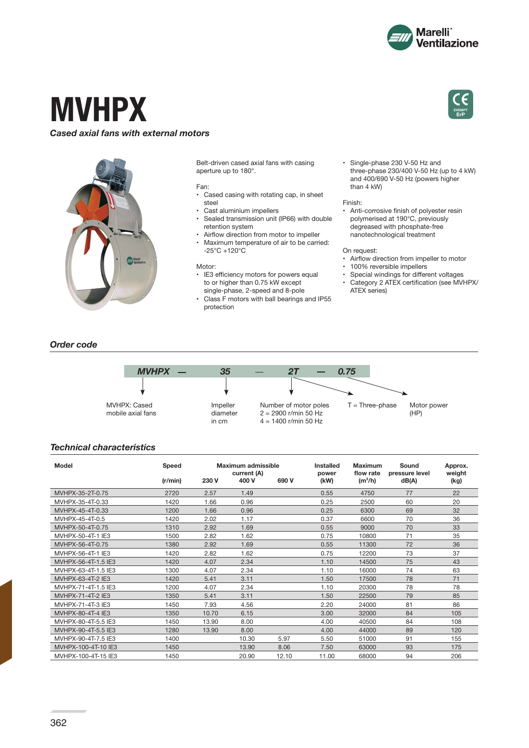

**EXEMPT ErP**

# **MVHPX**

# *Cased axial fans with external motors*



Belt-driven cased axial fans with casing aperture up to 180°.

#### Fan:

- Cased casing with rotating cap, in sheet steel
- Cast aluminium impellers
- Sealed transmission unit (IP66) with double retention system
- Airflow direction from motor to impeller Maximum temperature of air to be carried: -25°C +120°C

### Motor:

- IE3 efficiency motors for powers equal to or higher than 0.75 kW except single-phase, 2-speed and 8-pole
- Class F motors with ball bearings and IP55 protection

• Single-phase 230 V-50 Hz and three‑phase 230/400 V-50 Hz (up to 4 kW) and 400/690 V-50 Hz (powers higher than 4 kW)

#### Finish:

Anti-corrosive finish of polyester resin polymerised at 190°C, previously degreased with phosphate-free nanotechnological treatment

#### On request:

- Airflow direction from impeller to motor
- 100% reversible impellers<br>• Special windings for different
- Special windings for different voltages
- Category 2 ATEX certification (see MVHPX/ ATEX series)

# *Order code*



# *Technical characteristics*

| Model               | Speed   | Maximum admissible |       | current (A) |       | Installed<br>power | <b>Maximum</b><br>flow rate | Sound<br>pressure level | Approx.<br>weight |  |
|---------------------|---------|--------------------|-------|-------------|-------|--------------------|-----------------------------|-------------------------|-------------------|--|
|                     | (r/min) | 230 V              | 400 V | 690 V       | (kW)  | $(m^3/h)$          | dB(A)                       | (kg)                    |                   |  |
| MVHPX-35-2T-0.75    | 2720    | 2.57               | 1.49  |             | 0.55  | 4750               | 77                          | 22                      |                   |  |
| MVHPX-35-4T-0.33    | 1420    | 1.66               | 0.96  |             | 0.25  | 2500               | 60                          | 20                      |                   |  |
| MVHPX-45-4T-0.33    | 1200    | 1.66               | 0.96  |             | 0.25  | 6300               | 69                          | 32                      |                   |  |
| MVHPX-45-4T-0.5     | 1420    | 2.02               | 1.17  |             | 0.37  | 6600               | 70                          | 36                      |                   |  |
| MVHPX-50-4T-0.75    | 1310    | 2.92               | 1.69  |             | 0.55  | 9000               | 70                          | 33                      |                   |  |
| MVHPX-50-4T-1 IE3   | 1500    | 2.82               | 1.62  |             | 0.75  | 10800              | 71                          | 35                      |                   |  |
| MVHPX-56-4T-0.75    | 1380    | 2.92               | 1.69  |             | 0.55  | 11300              | 72                          | 36                      |                   |  |
| MVHPX-56-4T-1 IE3   | 1420    | 2.82               | 1.62  |             | 0.75  | 12200              | 73                          | 37                      |                   |  |
| MVHPX-56-4T-1.5 IE3 | 1420    | 4.07               | 2.34  |             | 1.10  | 14500              | 75                          | 43                      |                   |  |
| MVHPX-63-4T-1.5 IE3 | 1300    | 4.07               | 2.34  |             | 1.10  | 16000              | 74                          | 63                      |                   |  |
| MVHPX-63-4T-2 IE3   | 1420    | 5.41               | 3.11  |             | 1.50  | 17500              | 78                          | 71                      |                   |  |
| MVHPX-71-4T-1.5 IE3 | 1200    | 4.07               | 2.34  |             | 1.10  | 20300              | 78                          | 78                      |                   |  |
| MVHPX-71-4T-2 IE3   | 1350    | 5.41               | 3.11  |             | 1.50  | 22500              | 79                          | 85                      |                   |  |
| MVHPX-71-4T-3 IE3   | 1450    | 7.93               | 4.56  |             | 2.20  | 24000              | 81                          | 86                      |                   |  |
| MVHPX-80-4T-4 IE3   | 1350    | 10.70              | 6.15  |             | 3.00  | 32000              | 84                          | 105                     |                   |  |
| MVHPX-80-4T-5.5 IE3 | 1450    | 13.90              | 8.00  |             | 4.00  | 40500              | 84                          | 108                     |                   |  |
| MVHPX-90-4T-5.5 IE3 | 1280    | 13.90              | 8.00  |             | 4.00  | 44000              | 89                          | 120                     |                   |  |
| MVHPX-90-4T-7.5 IE3 | 1400    |                    | 10.30 | 5.97        | 5.50  | 51000              | 91                          | 155                     |                   |  |
| MVHPX-100-4T-10 IE3 | 1450    |                    | 13.90 | 8.06        | 7.50  | 63000              | 93                          | 175                     |                   |  |
| MVHPX-100-4T-15 IE3 | 1450    |                    | 20.90 | 12.10       | 11.00 | 68000              | 94                          | 206                     |                   |  |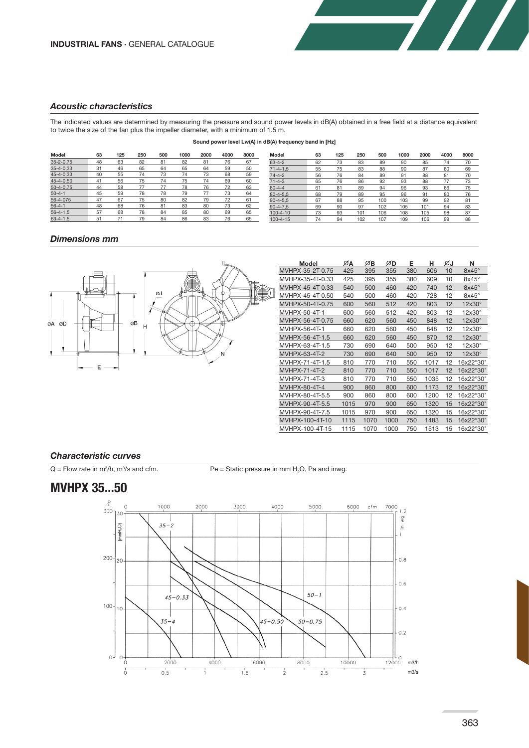# *Acoustic characteristics*

The indicated values are determined by measuring the pressure and sound power levels in dB(A) obtained in a free field at a distance equivalent to twice the size of the fan plus the impeller diameter, with a minimum of 1.5 m.

#### **Sound power level Lw(A) in dB(A) frequency band in [Hz]**

| Model           | 63 | 125 | 250 | 500 | 1000 | 2000 | 4000 | 8000 | Model          | 63 | 125 | 250 | 500 | 1000 | 2000 | 4000 | 8000 |
|-----------------|----|-----|-----|-----|------|------|------|------|----------------|----|-----|-----|-----|------|------|------|------|
| $35 - 2 - 0.75$ | 48 | 63  | 82  | 81  | 82   | 81   | 76   | 67   | $63 - 4 - 2$   | 62 | 73  | 83  | 89  | 90   | 85   | 74   | 70   |
| $35 - 4 - 0.33$ | 31 | 46  | 65  | 64  | 65   | 64   | 59   | 50   | $71 - 4 - 1.5$ | 55 | 75  | 83  | 88  | 90   | 87   | 80   | 69   |
| 45-4-0.33       | 40 | 55  | 74  | 73  | 74   | 73   | 68   | 59   | $74 - 4 - 2$   | 56 | 76  | 84  | 89  | 91   | 88   | 81   | 70   |
| 45-4-0,50       | 41 | 56  | 75  | 74  | 75   |      | 69   | 60   | $71 - 4 - 3$   | 65 | 76  | 86  | 92  | 93   | 88   |      | 73   |
| $50 - 4 - 0.75$ | 44 | 58  |     |     | 78   | 76   | 72   | 63   | $80 - 4 - 4$   | 61 | 8   | 89  | 94  | 96   | 93   | 86   | 75   |
| $50 - 4 - 1$    | 45 | 59  | 78  | 78  | 79   |      | 73   | 64   | $80 - 4 - 5.5$ | 68 | 79  | 89  | 95  | 96   | 91   | 80   | 76   |
| 56-4-075        | 47 | 67  | 75  | 80  | 82   | 79   |      | 61   | $90 - 4 - 5.5$ | 67 | 88  | 95  | 100 | 103  | 99   | 92   | 81   |
| $56 - 4 - 1$    | 48 | 68  | 76  | 81  | 83   | 80   | 73   | 62   | $90 - 4 - 7.5$ | 69 | 90  | 97  | 102 | 105  | 101  | 94   | 83   |
| $56 - 4 - 1,5$  | 57 | 68  | 78  | 84  | 85   | 80   | 69   | 65   | $100 - 4 - 10$ | 73 | 93  | 101 | 106 | 108  | 105  | 98   | 87   |
| $63 - 4 - 1.5$  | 51 |     | 79  | 84  | 86   | 83   | 76   | 65   | $100 - 4 - 15$ | 74 | 94  | 102 | 107 | 109  | 106  | 99   | 88   |

| moaer          | ნა | 123 | ∠ວບ | วบบ | טטטו | zuuu | 4000 | ouuu |  |
|----------------|----|-----|-----|-----|------|------|------|------|--|
| $63 - 4 - 2$   | 62 | 73  | 83  | 89  | 90   | 85   | 74   | 70   |  |
| $71 - 4 - 1.5$ | 55 | 75  | 83  | 88  | 90   | 87   | 80   | 69   |  |
| $74 - 4 - 2$   | 56 | 76  | 84  | 89  | 91   | 88   | 81   | 70   |  |
| $71 - 4 - 3$   | 65 | 76  | 86  | 92  | 93   | 88   | 77   | 73   |  |
| $80 - 4 - 4$   | 61 | 81  | 89  | 94  | 96   | 93   | 86   | 75   |  |
| $80 - 4 - 5.5$ | 68 | 79  | 89  | 95  | 96   | 91   | 80   | 76   |  |
| $90 - 4 - 5.5$ | 67 | 88  | 95  | 100 | 103  | 99   | 92   | 81   |  |
| $90 - 4 - 7.5$ | 69 | 90  | 97  | 102 | 105  | 101  | 94   | 83   |  |
| $100 - 4 - 10$ | 73 | 93  | 101 | 106 | 108  | 105  | 98   | 87   |  |
| $100 - 4 - 15$ | 74 | 94  | 102 | 107 | 109  | 106  | 99   | 88   |  |
|                |    |     |     |     |      |      |      |      |  |

**Single Street** 

## *Dimensions mm*



| <b>Model</b>     | ØA   | ØВ   | ∅D   | Е   | н    | ØJ | N                  |
|------------------|------|------|------|-----|------|----|--------------------|
| MVHPX-35-2T-0.75 | 425  | 395  | 355  | 380 | 606  | 10 | $8x45^\circ$       |
| MVHPX-35-4T-0.33 | 425  | 395  | 355  | 380 | 609  | 10 | $8x45^\circ$       |
| MVHPX-45-4T-0.33 | 540  | 500  | 460  | 420 | 740  | 12 | $8x45^\circ$       |
| MVHPX-45-4T-0.50 | 540  | 500  | 460  | 420 | 728  | 12 | $8x45^\circ$       |
| MVHPX-50-4T-0.75 | 600  | 560  | 512  | 420 | 803  | 12 | $12\times30^\circ$ |
| MVHPX-50-4T-1    | 600  | 560  | 512  | 420 | 803  | 12 | 12x30°             |
| MVHPX-56-4T-0.75 | 660  | 620  | 560  | 450 | 848  | 12 | $12\times30^\circ$ |
| MVHPX-56-4T-1    | 660  | 620  | 560  | 450 | 848  | 12 | $12\times30^\circ$ |
| MVHPX-56-4T-1.5  | 660  | 620  | 560  | 450 | 870  | 12 | $12\times30^\circ$ |
| MVHPX-63-4T-1.5  | 730  | 690  | 640  | 500 | 950  | 12 | $12\times30^\circ$ |
| MVHPX-63-4T-2    | 730  | 690  | 640  | 500 | 950  | 12 | $12\times30^\circ$ |
| MVHPX-71-4T-1.5  | 810  | 770  | 710  | 550 | 1017 | 12 | 16x22°30'          |
| MVHPX-71-4T-2    | 810  | 770  | 710  | 550 | 1017 | 12 | 16x22°30'          |
| MVHPX-71-4T-3    | 810  | 770  | 710  | 550 | 1035 | 12 | 16x22°30'          |
| MVHPX-80-4T-4    | 900  | 860  | 800  | 600 | 1173 | 12 | 16x22°30'          |
| MVHPX-80-4T-5.5  | 900  | 860  | 800  | 600 | 1200 | 12 | 16x22°30'          |
| MVHPX-90-4T-5.5  | 1015 | 970  | 900  | 650 | 1320 | 15 | 16x22°30'          |
| MVHPX-90-4T-7.5  | 1015 | 970  | 900  | 650 | 1320 | 15 | 16x22°30'          |
| MVHPX-100-4T-10  | 1115 | 1070 | 1000 | 750 | 1483 | 15 | 16x22°30'          |
| MVHPX-100-4T-15  | 1115 | 1070 | 1000 | 750 | 1513 | 15 | 16x22°30'          |

### *Characteristic curves*

 $Q =$  Flow rate in m $\frac{3}{h}$ , m $\frac{3}{3}$ 

/s and cfm.  $Pe =$  Static pressure in mm  $H_2O$ , Pa and inwg.

# **MVHPX 35...50**